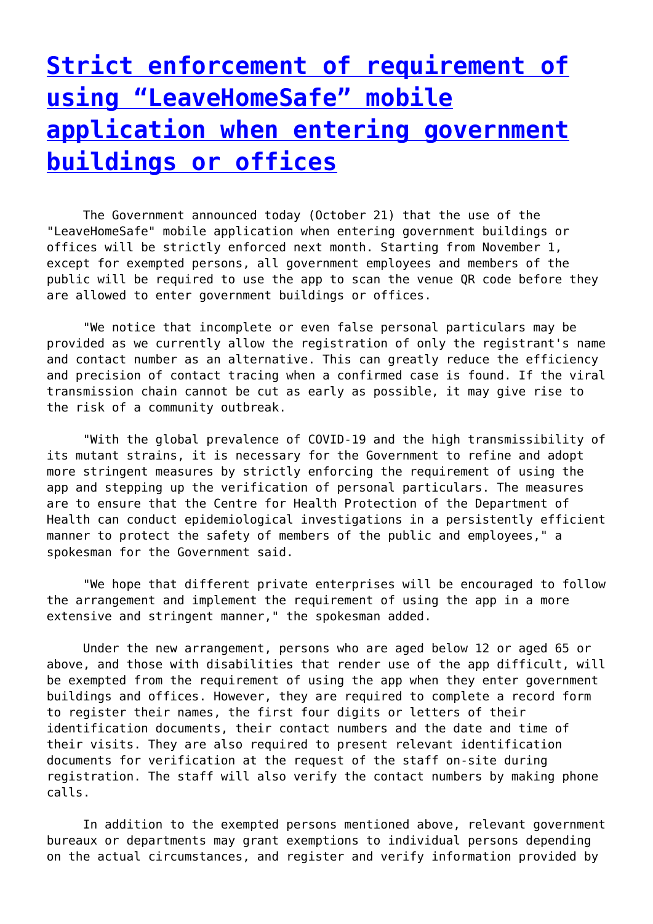## **[Strict enforcement of requirement of](http://www.government-world.com/strict-enforcement-of-requirement-of-using-leavehomesafe-mobile-application-when-entering-government-buildings-or-offices/) [using "LeaveHomeSafe" mobile](http://www.government-world.com/strict-enforcement-of-requirement-of-using-leavehomesafe-mobile-application-when-entering-government-buildings-or-offices/) [application when entering government](http://www.government-world.com/strict-enforcement-of-requirement-of-using-leavehomesafe-mobile-application-when-entering-government-buildings-or-offices/) [buildings or offices](http://www.government-world.com/strict-enforcement-of-requirement-of-using-leavehomesafe-mobile-application-when-entering-government-buildings-or-offices/)**

 The Government announced today (October 21) that the use of the "LeaveHomeSafe" mobile application when entering government buildings or offices will be strictly enforced next month. Starting from November 1, except for exempted persons, all government employees and members of the public will be required to use the app to scan the venue QR code before they are allowed to enter government buildings or offices.

 "We notice that incomplete or even false personal particulars may be provided as we currently allow the registration of only the registrant's name and contact number as an alternative. This can greatly reduce the efficiency and precision of contact tracing when a confirmed case is found. If the viral transmission chain cannot be cut as early as possible, it may give rise to the risk of a community outbreak.

 "With the global prevalence of COVID-19 and the high transmissibility of its mutant strains, it is necessary for the Government to refine and adopt more stringent measures by strictly enforcing the requirement of using the app and stepping up the verification of personal particulars. The measures are to ensure that the Centre for Health Protection of the Department of Health can conduct epidemiological investigations in a persistently efficient manner to protect the safety of members of the public and employees," a spokesman for the Government said.

 "We hope that different private enterprises will be encouraged to follow the arrangement and implement the requirement of using the app in a more extensive and stringent manner," the spokesman added.

 Under the new arrangement, persons who are aged below 12 or aged 65 or above, and those with disabilities that render use of the app difficult, will be exempted from the requirement of using the app when they enter government buildings and offices. However, they are required to complete a record form to register their names, the first four digits or letters of their identification documents, their contact numbers and the date and time of their visits. They are also required to present relevant identification documents for verification at the request of the staff on-site during registration. The staff will also verify the contact numbers by making phone calls.

 In addition to the exempted persons mentioned above, relevant government bureaux or departments may grant exemptions to individual persons depending on the actual circumstances, and register and verify information provided by